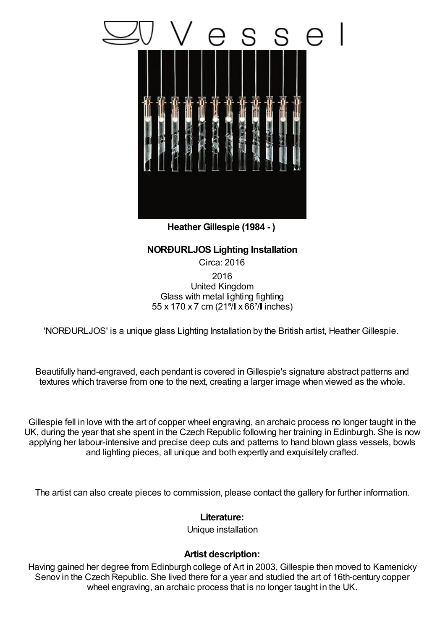

**Heather Gillespie (1984 - )**

## **NORÐURLJOS Lighting Installation**

Circa: 2016 2016 United Kingdom Glass with metal lighting fighting 55 x 170 x 7 cm (21<sup>5</sup>/ x 66<sup>7</sup>/ linches)

'NORÐURLJOS' is a unique glass Lighting Installation by the British artist, Heather Gillespie.

Beautifully hand-engraved, each pendant is covered inGillespie's signature abstract patterns and textures which traverse from one to the next, creating a larger image when viewed as the whole.

Gillespie fell in love with the art of copper wheel engraving, an archaic process no longer taught in the UK, during the year that she spent in the Czech Republic following her training in Edinburgh. She is now applying her labour-intensive and precise deep cuts and patterns to hand blown glass vessels, bowls and lighting pieces, all unique and both expertly and exquisitely crafted.

The artist can also create pieces to commission, please contact the gallery for further information.

## **Literature:**

Unique installation

## **Artist description:**

Having gained her degree from Edinburgh college of Art in 2003, Gillespie then moved to Kamenicky Senov in the Czech Republic. She lived there for a year and studied the art of 16th-century copper wheel engraving, an archaic process that is no longer taught in the UK.